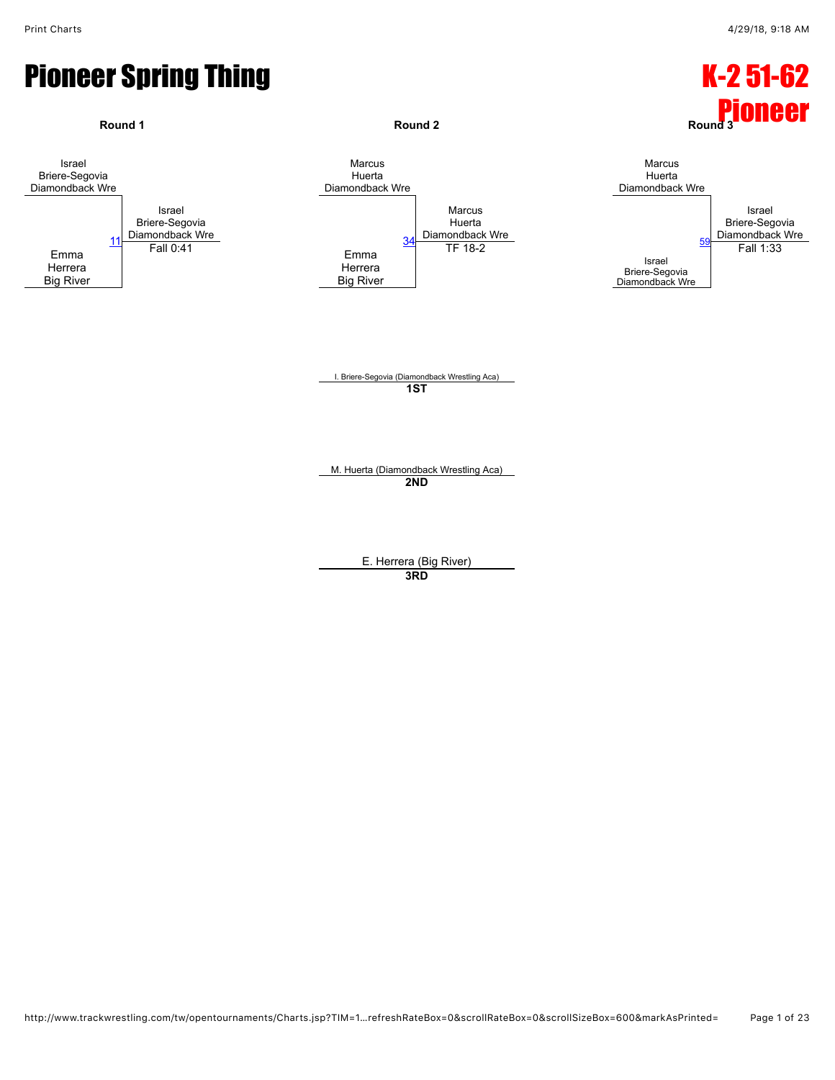#### Pioneer Spring Thing K-2 51-62

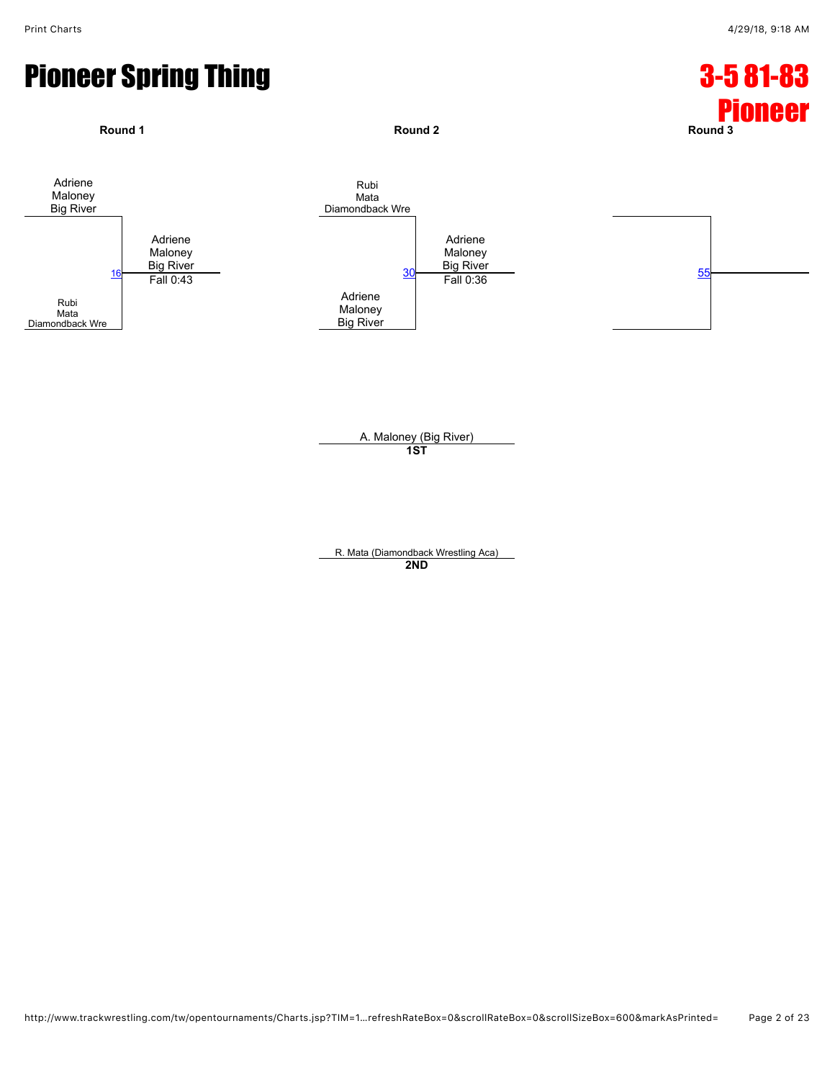## Pioneer Spring Thing 3-5 81-83



R. Mata (Diamondback Wrestling Aca) **2ND**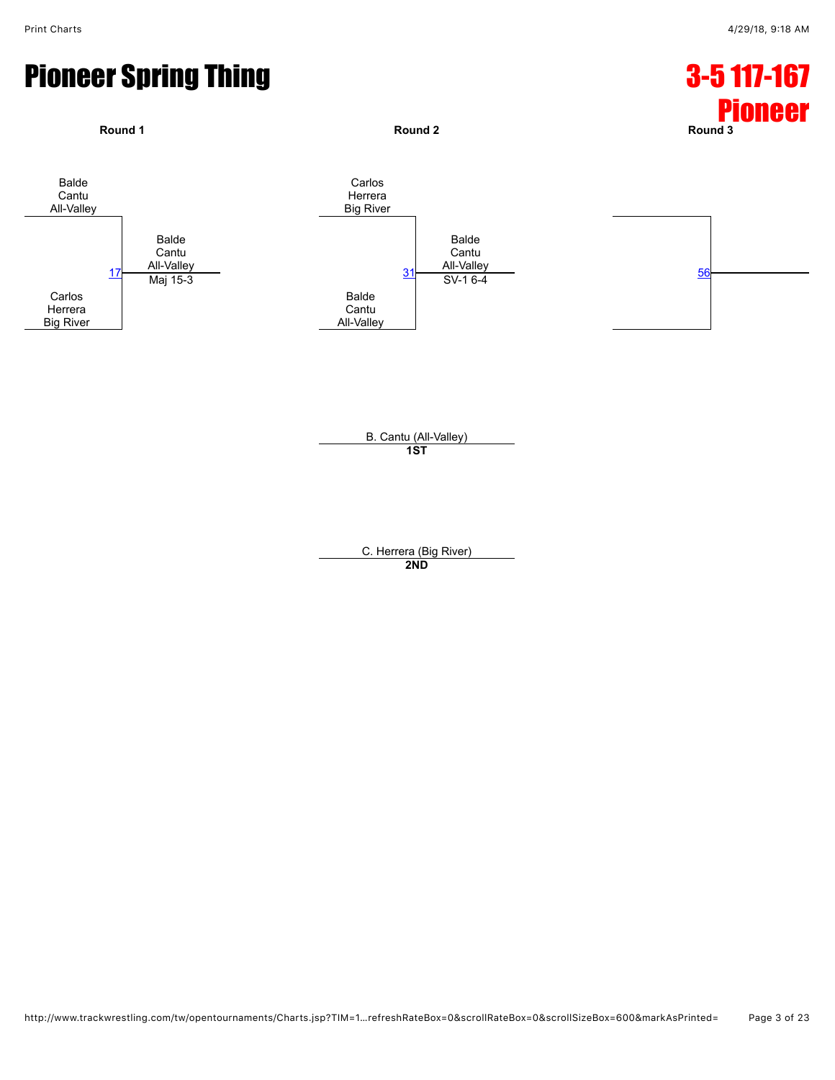## Pioneer Spring Thing 3-5 117-167

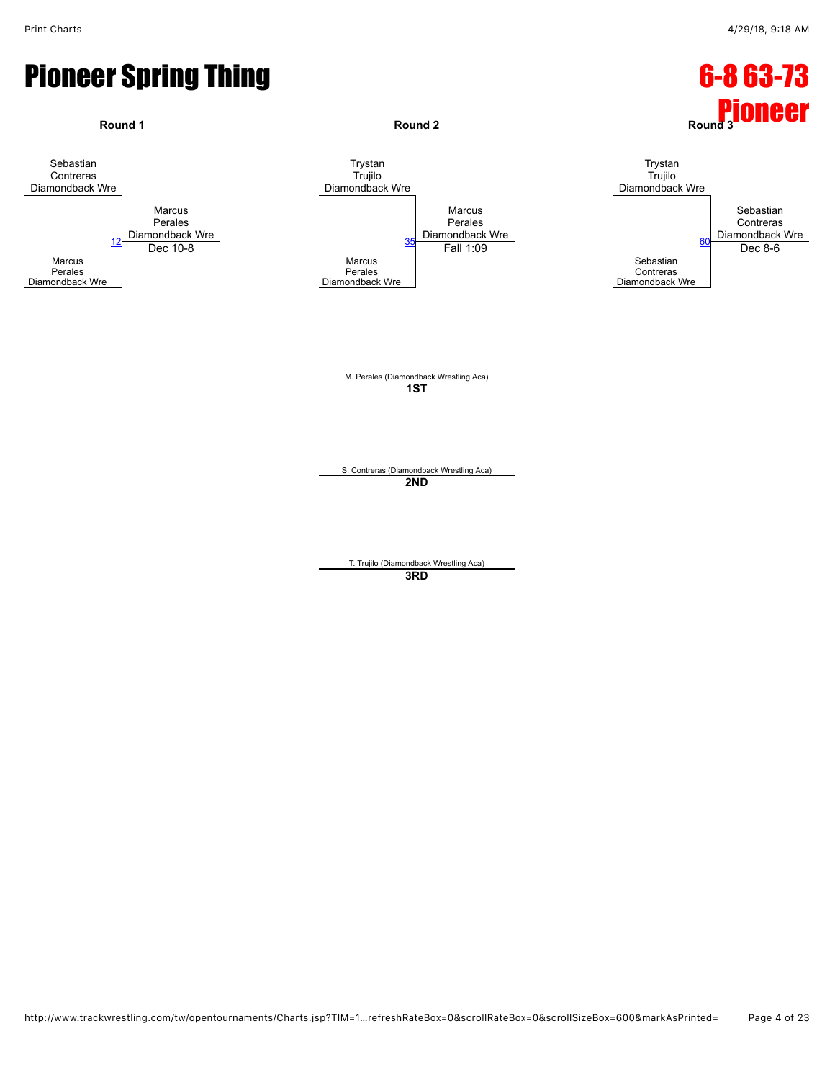#### Pioneer Spring Thing 6-8 63-73

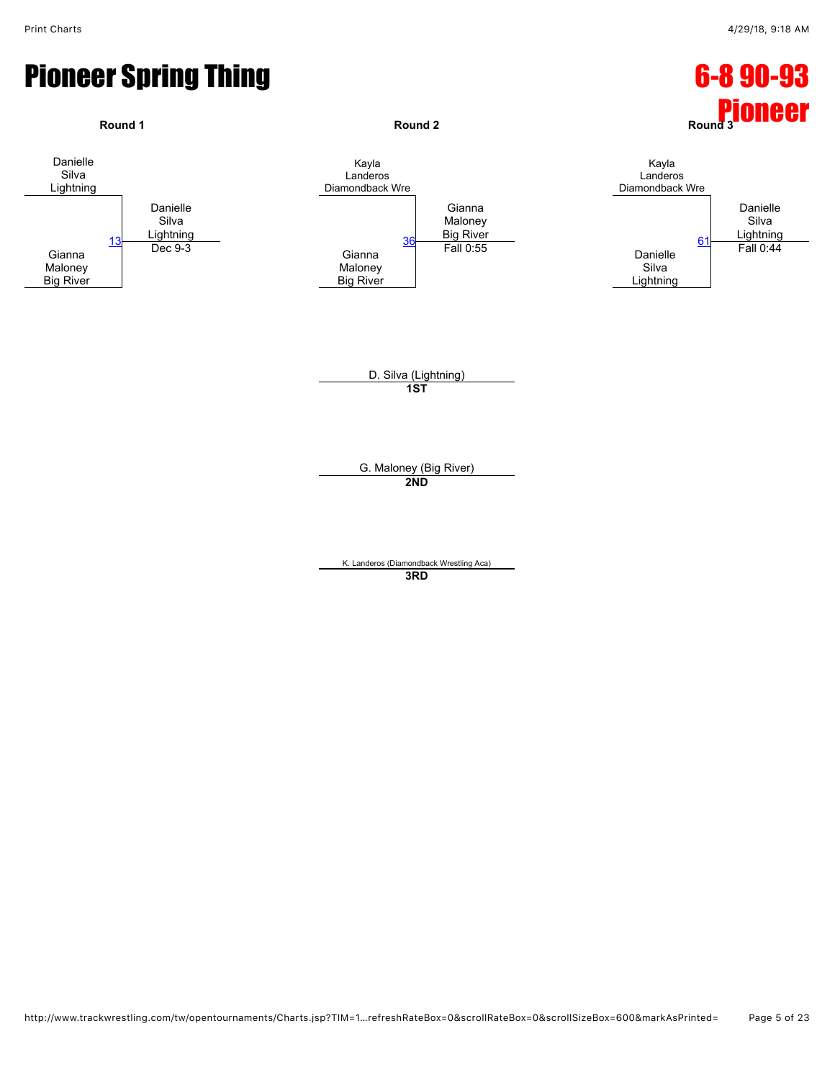#### Pioneer Spring Thing 6-8 90-93

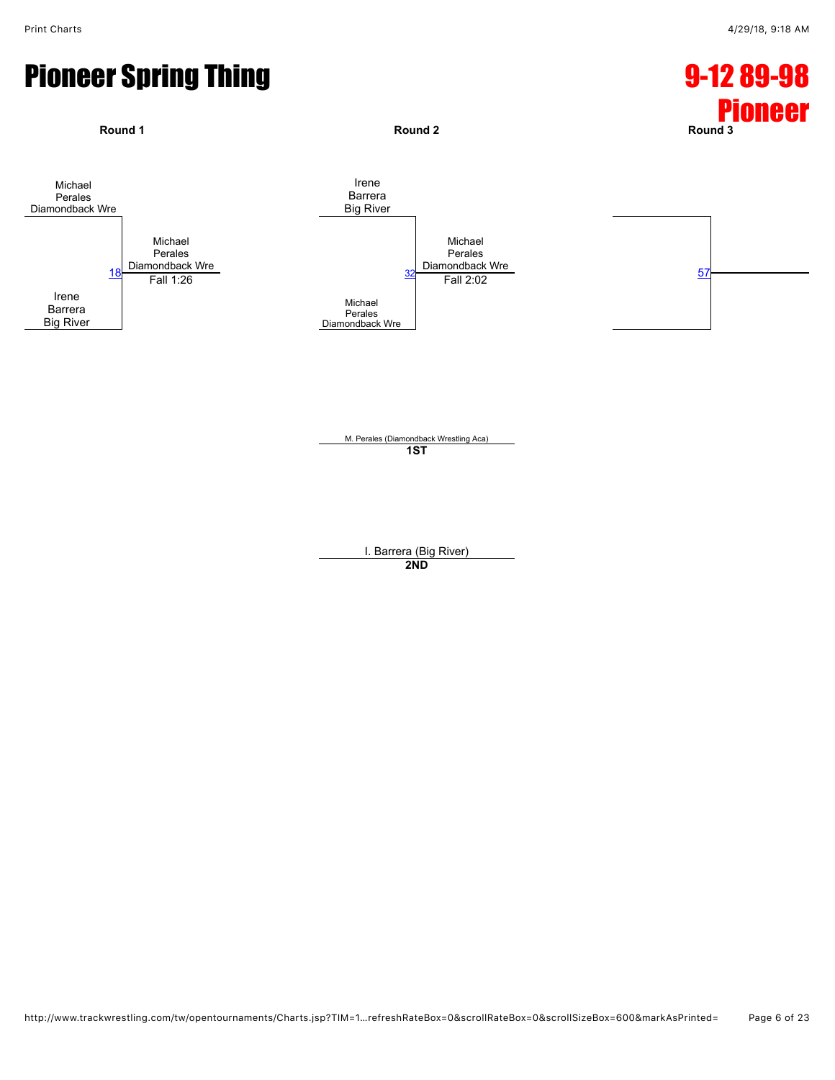## Pioneer Spring Thing 9-12 89-98



I. Barrera (Big River) **2ND**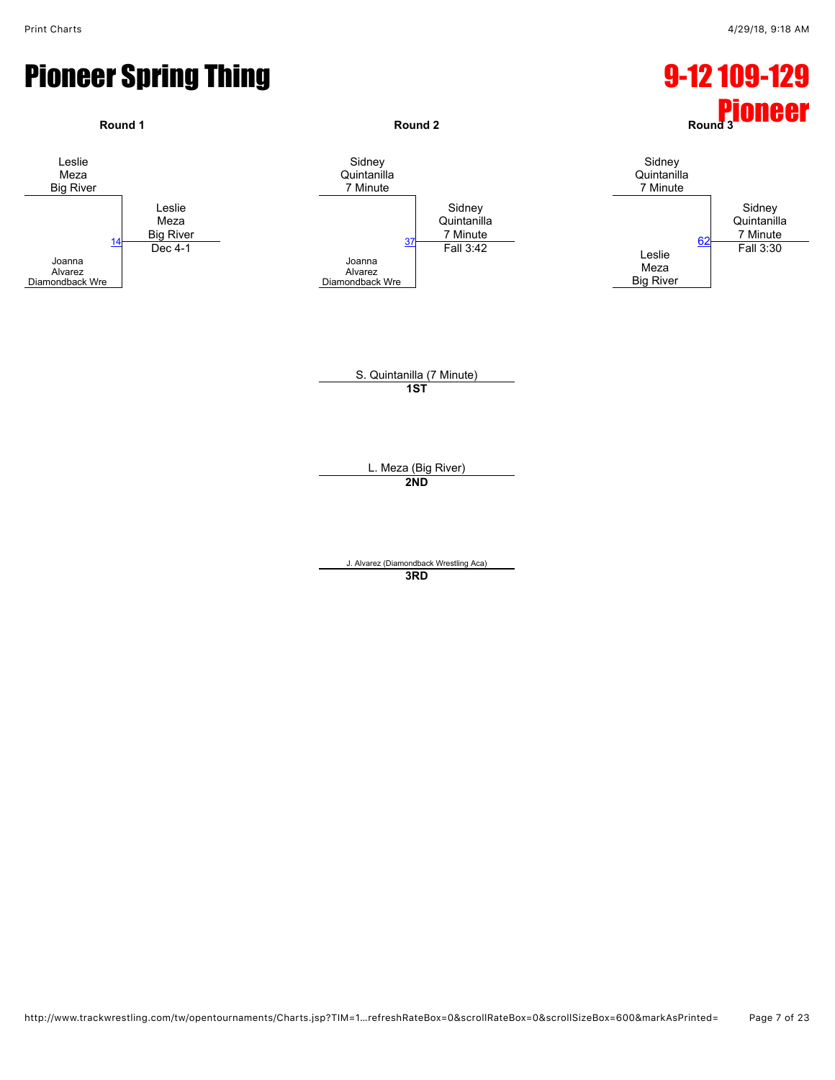#### Pioneer Spring Thing 9-12 109-129

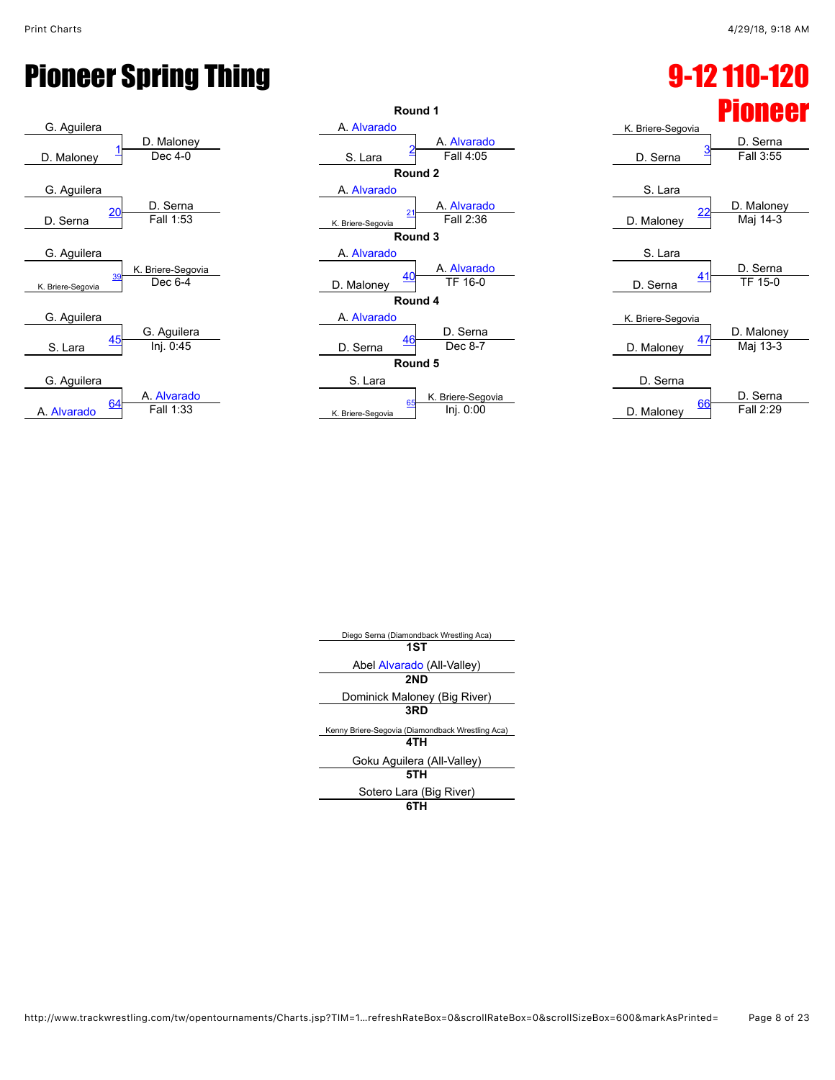# Pioneer Spring Thing 9-12 110-120



| Diego Serna (Diamondback Wrestling Aca)          |
|--------------------------------------------------|
| 1ST                                              |
| Abel Alvarado (All-Valley)                       |
| 2ND                                              |
| Dominick Maloney (Big River)                     |
| 3RD                                              |
| Kenny Briere-Segovia (Diamondback Wrestling Aca) |
| 4TH                                              |
| Goku Aguilera (All-Valley)                       |
| 5TH                                              |
| Sotero Lara (Big River)                          |
|                                                  |

http://www.trackwrestling.com/tw/opentournaments/Charts.jsp?TIM=1…refreshRateBox=0&scrollRateBox=0&scrollSizeBox=600&markAsPrinted= Page 8 of 23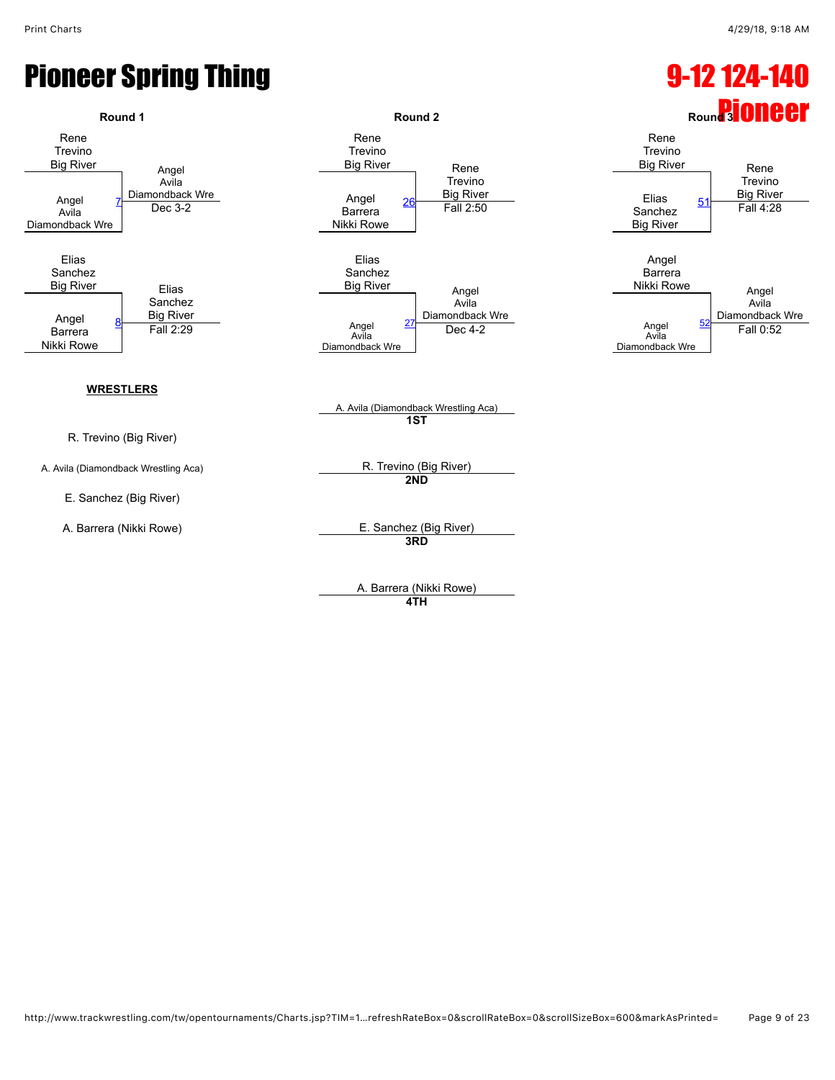## Pioneer Spring Thing 9-12 124-140



**4TH**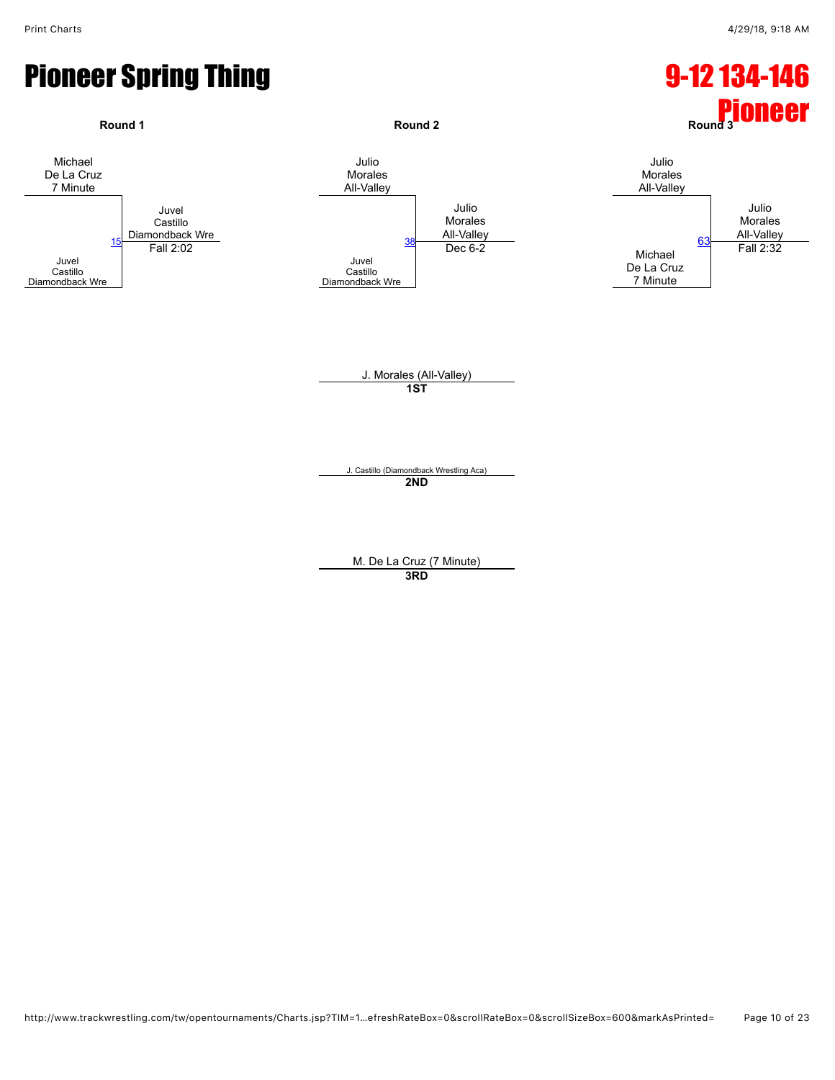#### Pioneer Spring Thing 9-12 134-146

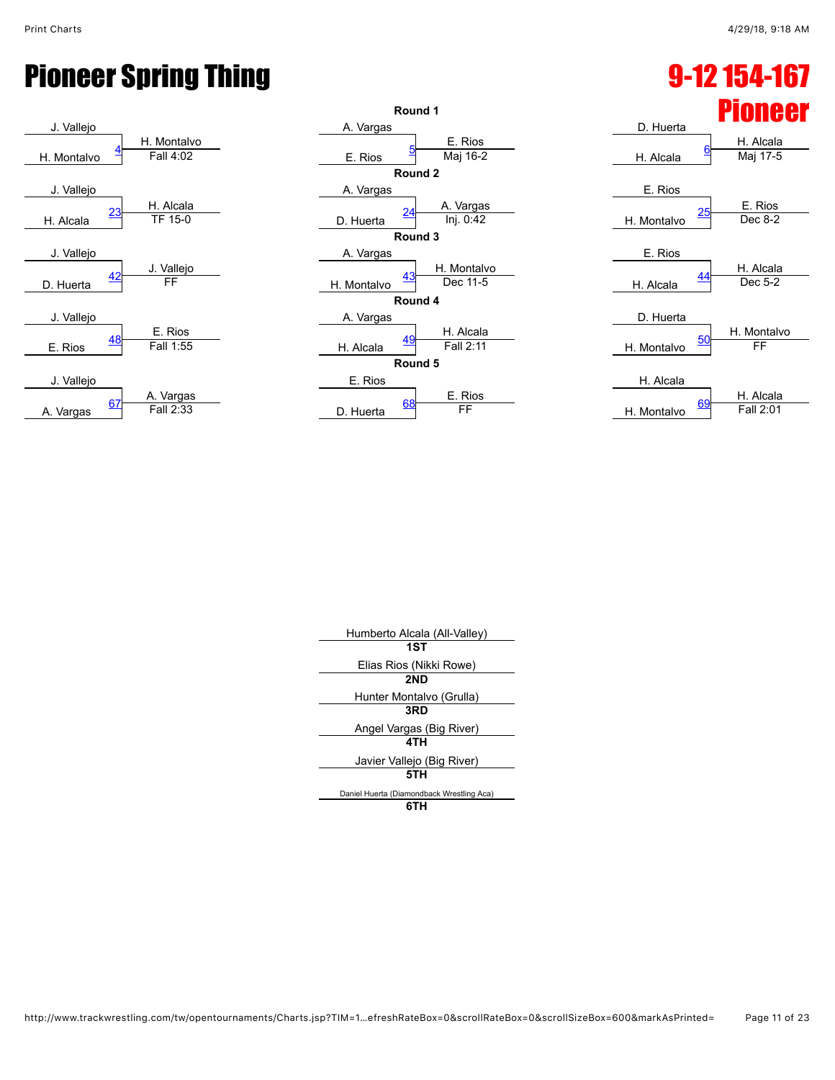# Pioneer Spring Thing 9-12 154-167





|                          | 12 IZ TJESTIU <i>r</i>              |
|--------------------------|-------------------------------------|
| D. Huerta                | Pioneer<br>H. Alcala                |
| H. Alcala                | <u>6</u><br>Maj 17-5                |
| E. Rios<br>H. Montalvo   | E. Rios<br>25<br>Dec 8-2            |
| E. Rios<br>H. Alcala     | H. Alcala<br>44<br>Dec 5-2          |
| D. Huerta<br>H. Montalvo | H. Montalvo<br><u>50</u><br>FF      |
| H. Alcala<br>H. Montalvo | H. Alcala<br><u>69</u><br>Fall 2:01 |

| Humberto Alcala (All-Valley)              |
|-------------------------------------------|
| 1ST                                       |
| Elias Rios (Nikki Rowe)                   |
| 2ND                                       |
| Hunter Montalvo (Grulla)                  |
| 3RD                                       |
| Angel Vargas (Big River)                  |
| 4TH                                       |
| Javier Vallejo (Big River)                |
| 5TH                                       |
| Daniel Huerta (Diamondback Wrestling Aca) |
| 61                                        |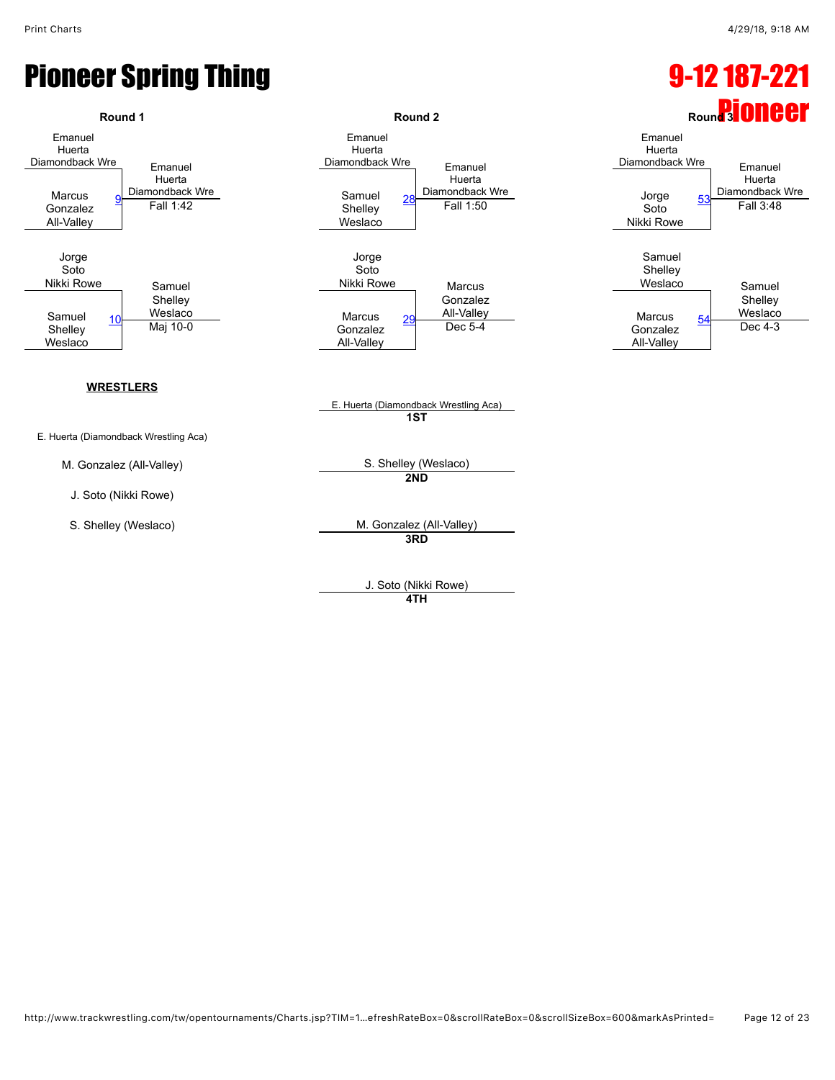#### Pioneer Spring Thing 9-12 187-221



J. Soto (Nikki Rowe) **4TH**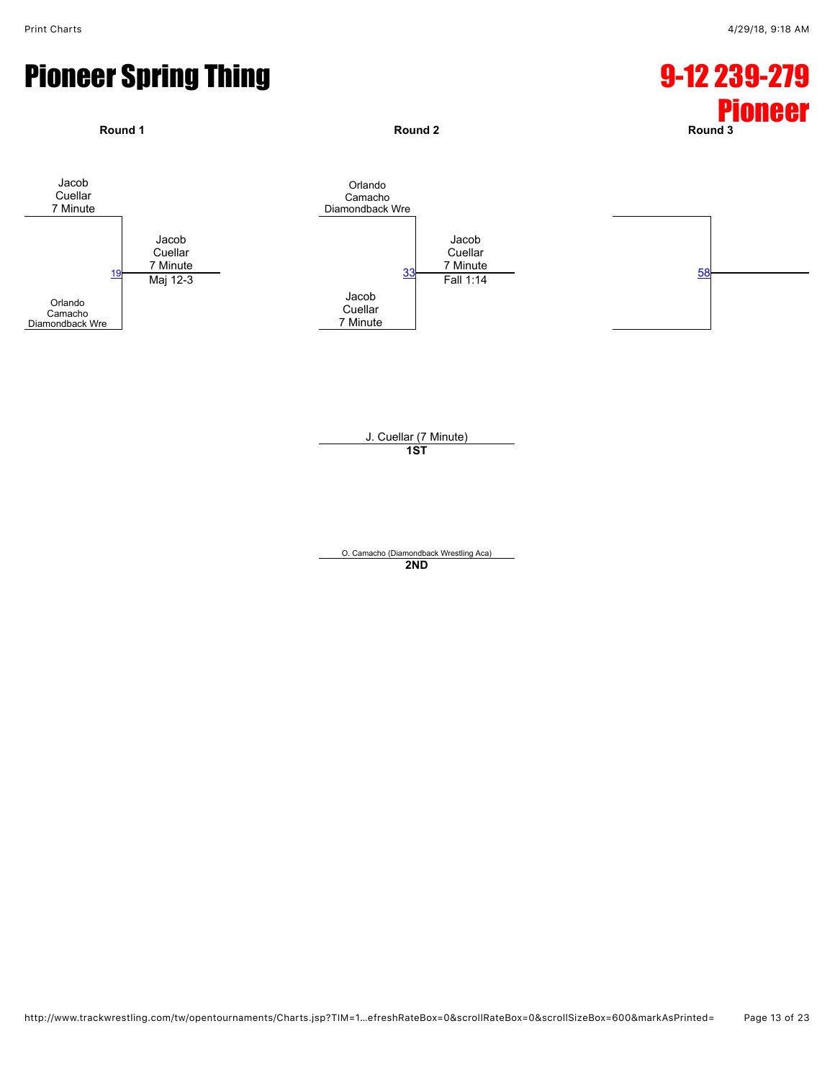### Pioneer Spring Thing 9-12 239-279



O. Camacho (Diamondback Wrestling Aca) **2ND**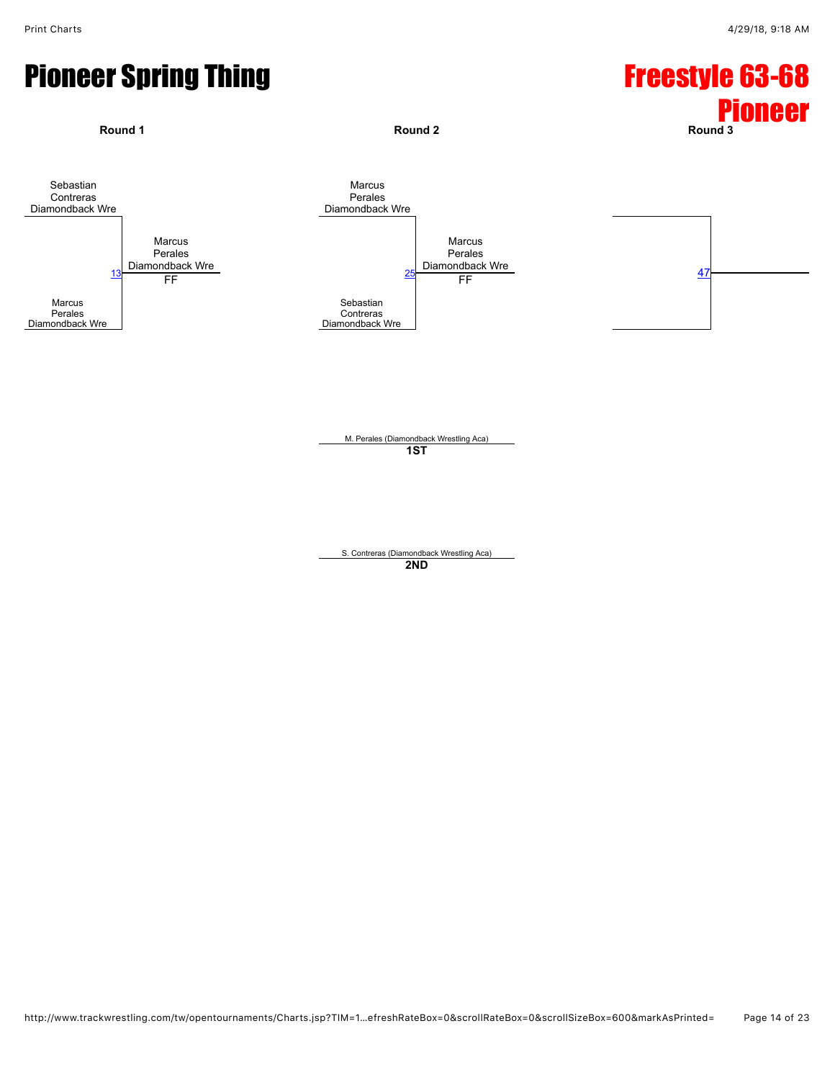## Pioneer Spring Thing Freestyle 63-68



M. Perales (Diamondback Wrestling Aca) **1ST**

S. Contreras (Diamondback Wrestling Aca) **2ND**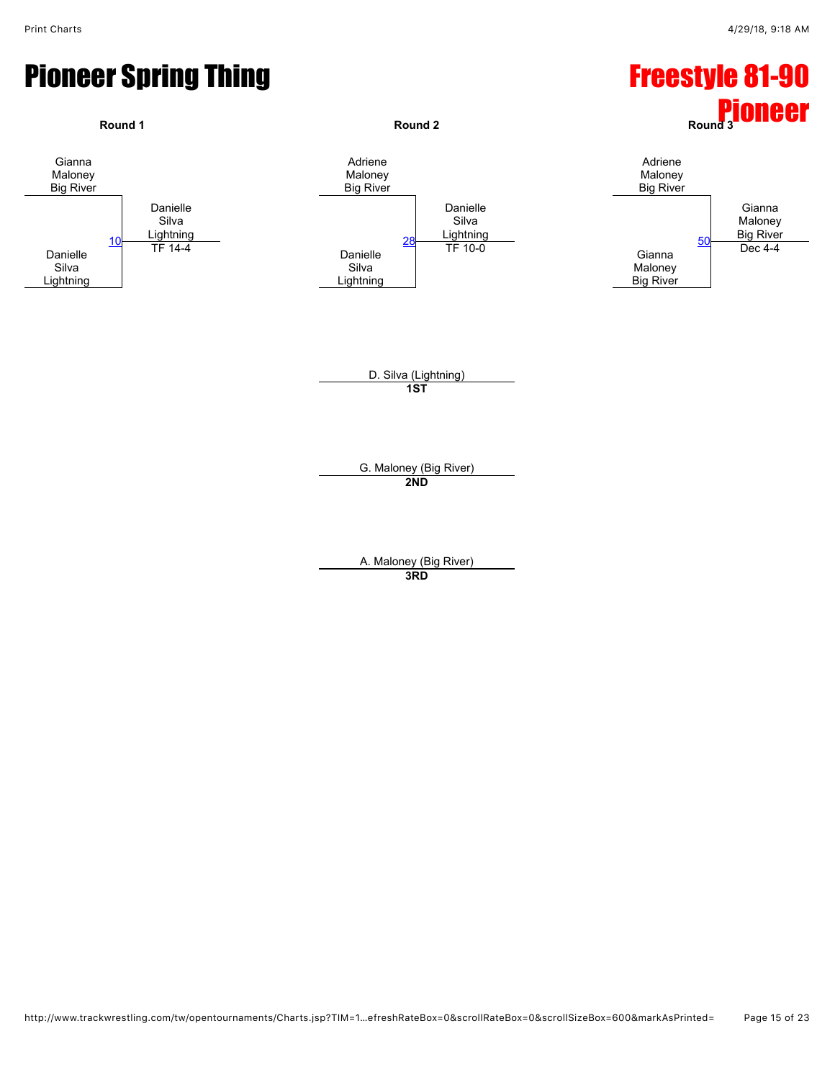#### **Pioneer Spring Thing Freestyle 81-90**

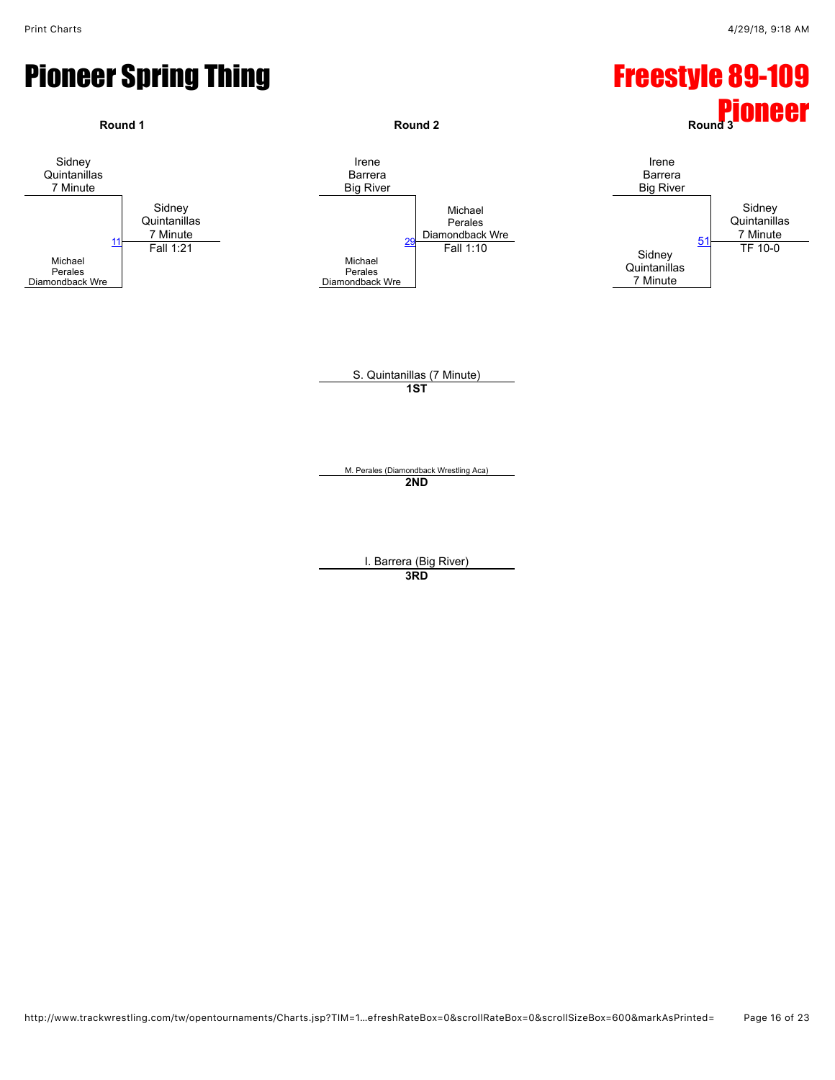#### Pioneer Spring Thing Freestyle 89-109

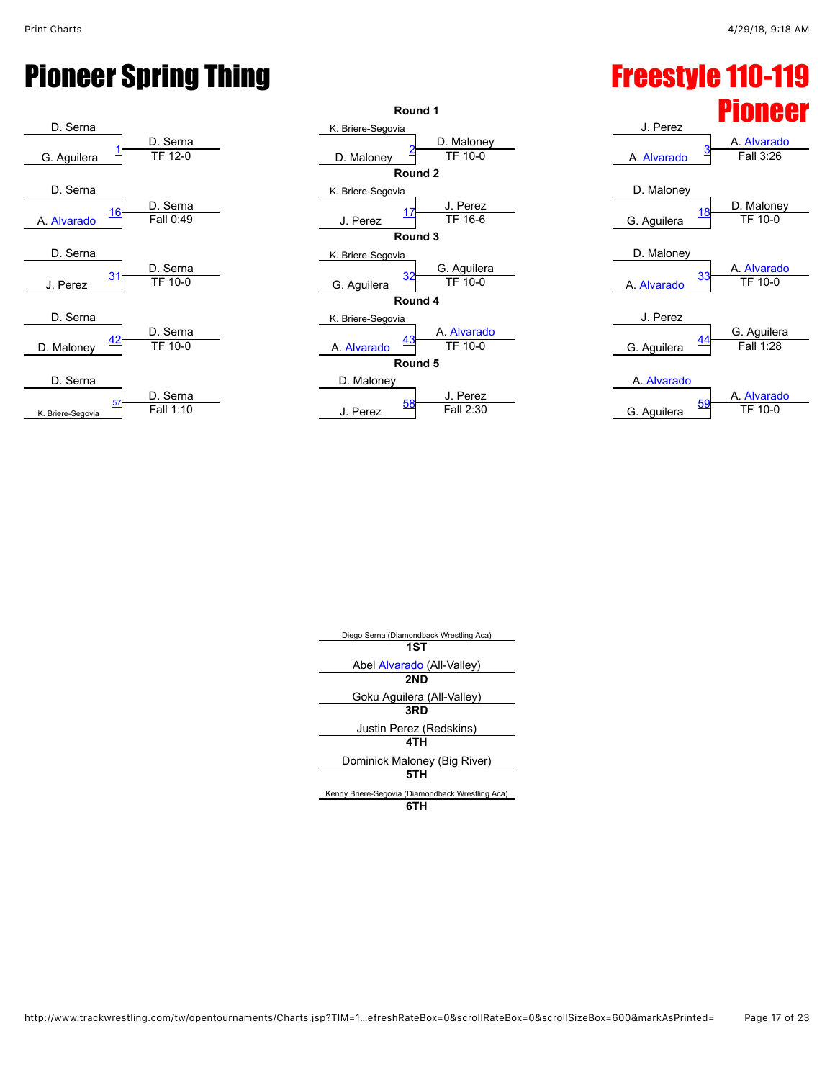# **Pioneer Spring Thing Freestyle 110-119**







| Diego Serna (Diamondback Wrestling Aca)          |  |
|--------------------------------------------------|--|
| 1ST                                              |  |
| Abel Alvarado (All-Valley)                       |  |
| 2ND                                              |  |
| Goku Aguilera (All-Valley)                       |  |
| 3RD                                              |  |
| Justin Perez (Redskins)                          |  |
| 4TH                                              |  |
| Dominick Maloney (Big River)                     |  |
| 5TH                                              |  |
| Kenny Briere-Segovia (Diamondback Wrestling Aca) |  |
| 6TH                                              |  |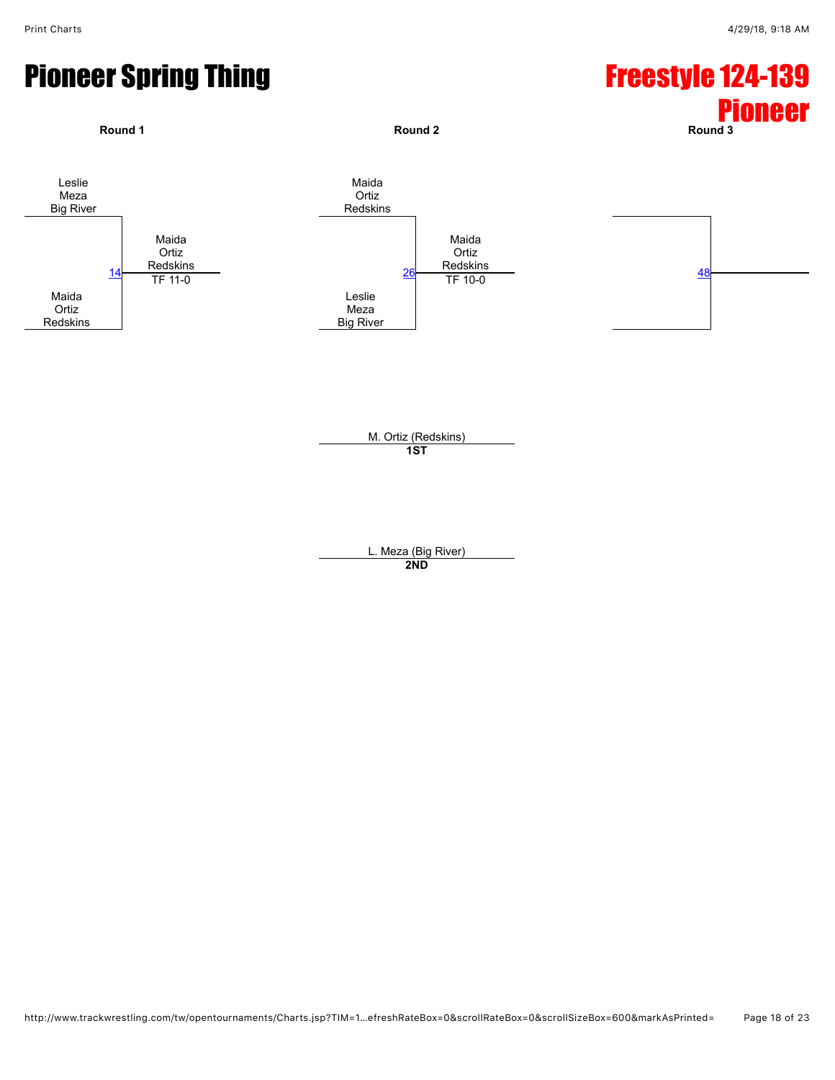# Pioneer Spring Thing Freestyle 124-139



L. Meza (Big River) **2ND**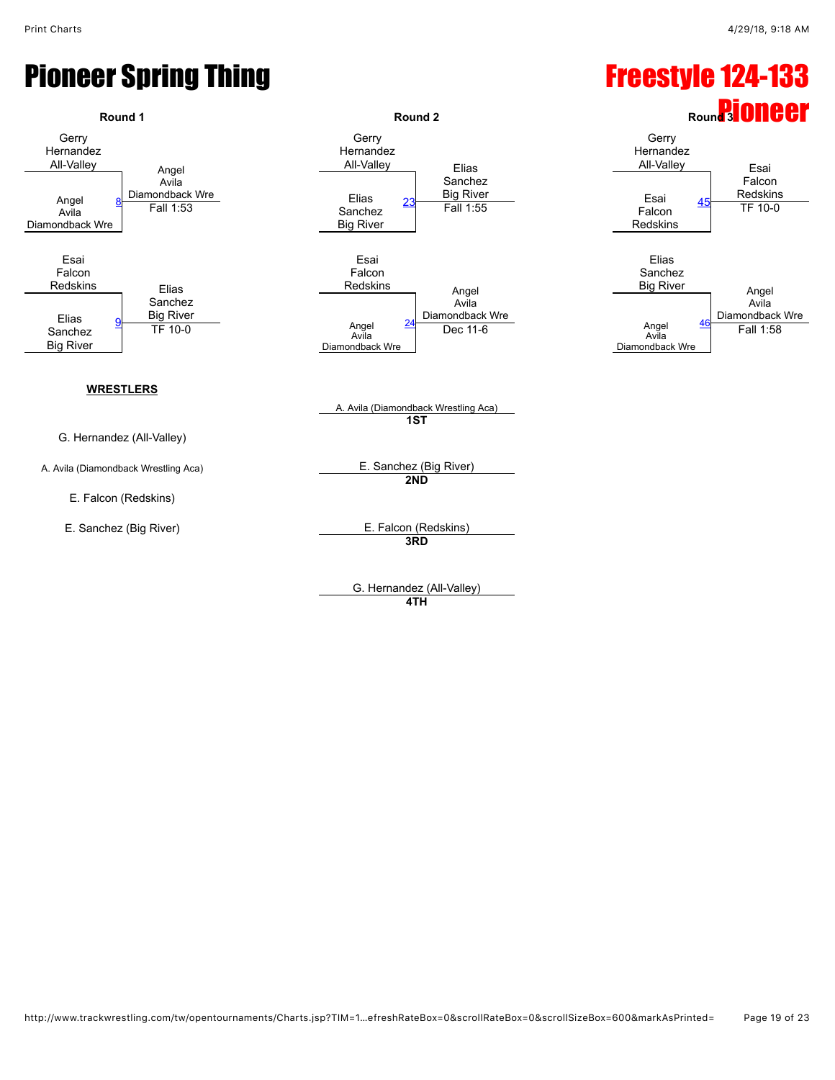## Pioneer Spring Thing Freestyle 124-133



**4TH**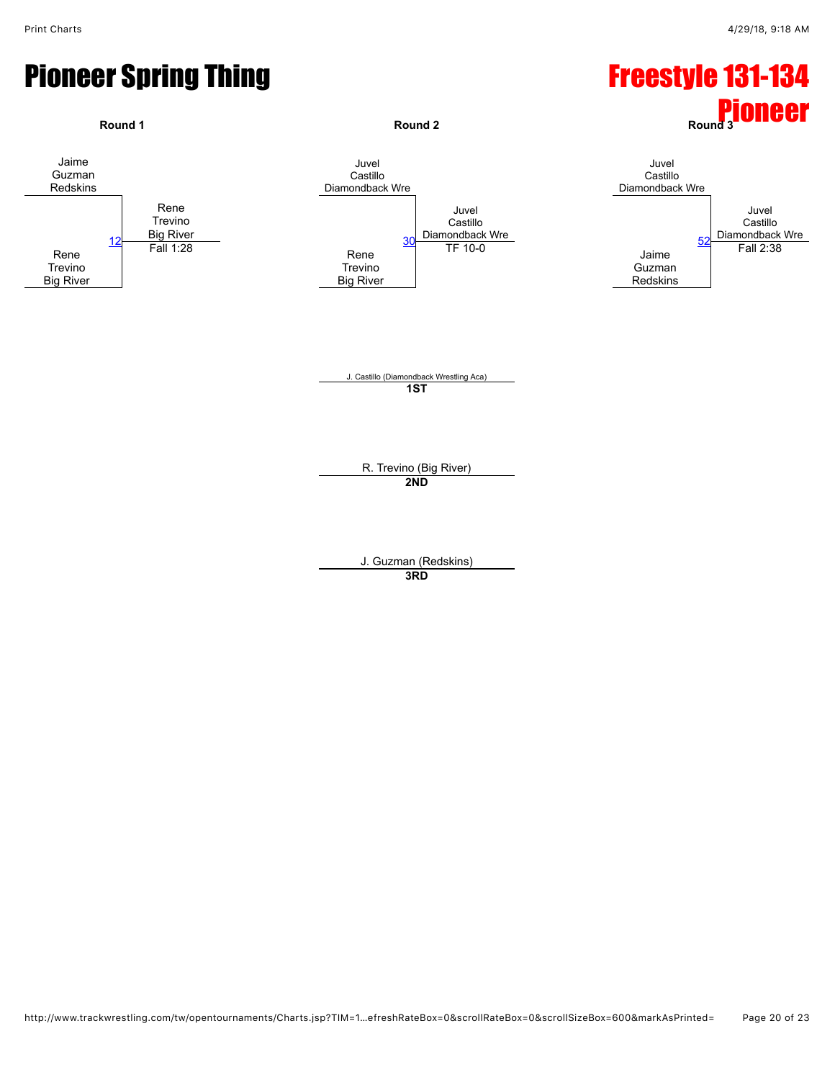#### Pioneer Spring Thing Freestyle 131-134

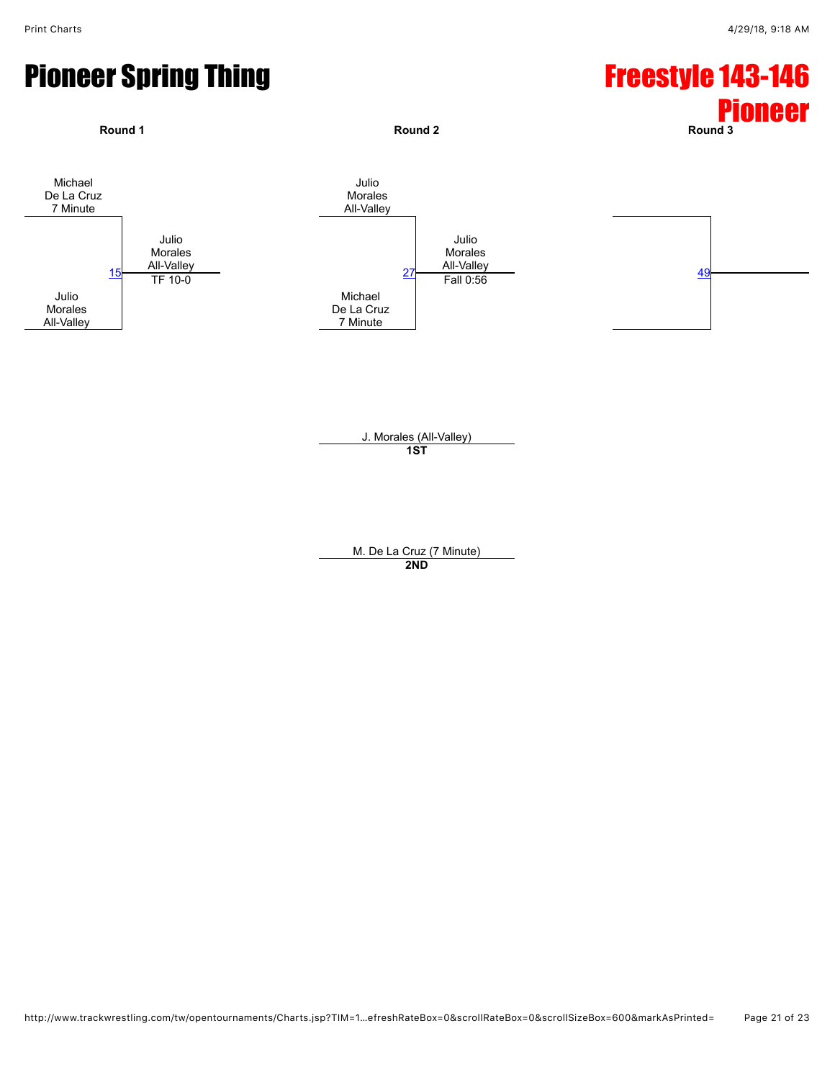# Pioneer Spring Thing Freestyle 143-146



M. De La Cruz (7 Minute) **2ND**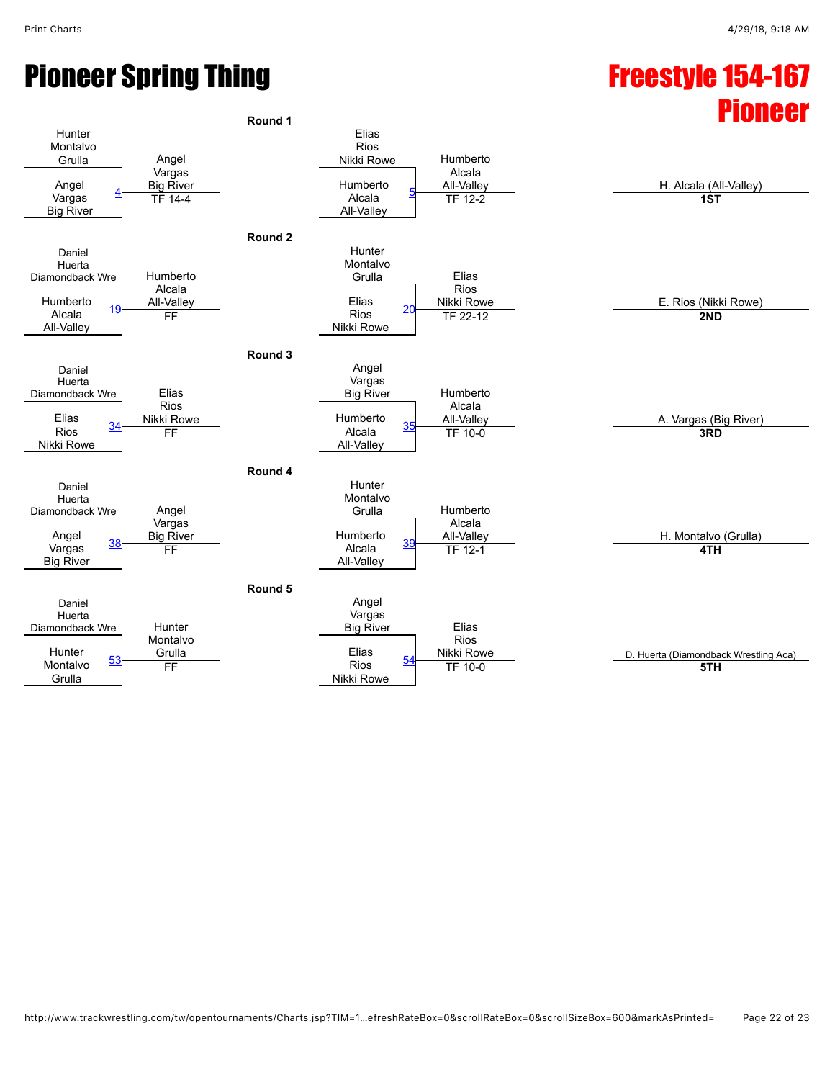# Pioneer Spring Thing Freestyle 154-167